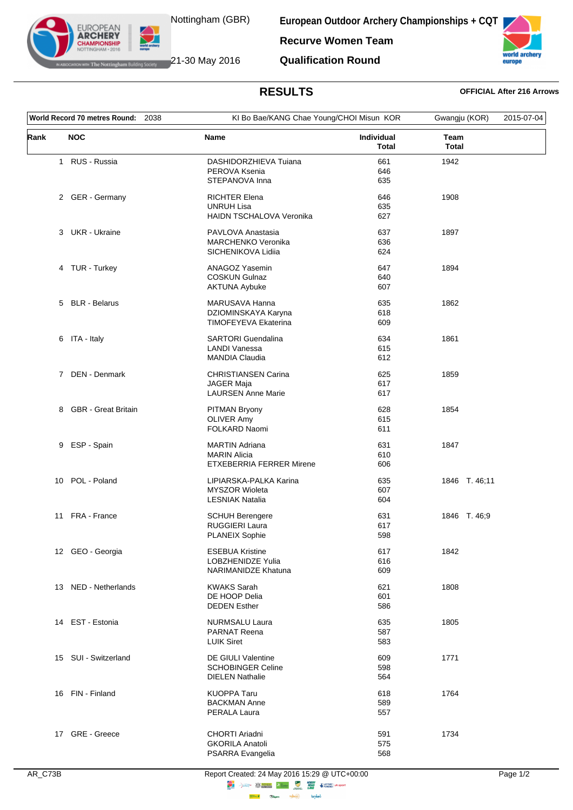

**EUROPEAN ARCHERY** 

European Outdoor Archery Championships + CQT

**Recurve Women Team Qualification Round** 



## **IF The Nottingham Building Society** 21-30 May 2016

**RESULTS** 

## **OFFICIAL After 216 Arrows**

| World Record 70 metres Round:<br>2038 |                       |                                            | KI Bo Bae/KANG Chae Young/CHOI Misun KOR |                             | 2015-07-04 |
|---------------------------------------|-----------------------|--------------------------------------------|------------------------------------------|-----------------------------|------------|
| Rank                                  | <b>NOC</b>            | <b>Name</b>                                | <b>Individual</b><br><b>Total</b>        | <b>Team</b><br><b>Total</b> |            |
|                                       | 1 RUS - Russia        | DASHIDORZHIEVA Tuiana                      | 661                                      | 1942                        |            |
|                                       |                       | PEROVA Ksenia                              | 646                                      |                             |            |
|                                       |                       | STEPANOVA Inna                             | 635                                      |                             |            |
|                                       | 2 GER - Germany       | <b>RICHTER Elena</b>                       | 646                                      | 1908                        |            |
|                                       |                       | <b>UNRUH Lisa</b>                          | 635                                      |                             |            |
|                                       |                       | HAIDN TSCHALOVA Veronika                   | 627                                      |                             |            |
|                                       | 3 UKR - Ukraine       | PAVLOVA Anastasia                          | 637                                      | 1897                        |            |
|                                       |                       | MARCHENKO Veronika                         | 636                                      |                             |            |
|                                       |                       | SICHENIKOVA Lidiia                         | 624                                      |                             |            |
|                                       | 4 TUR - Turkey        | <b>ANAGOZ Yasemin</b>                      | 647                                      | 1894                        |            |
|                                       |                       | <b>COSKUN Gulnaz</b>                       | 640                                      |                             |            |
|                                       |                       | <b>AKTUNA Aybuke</b>                       | 607                                      |                             |            |
|                                       | 5 BLR - Belarus       | MARUSAVA Hanna                             | 635                                      | 1862                        |            |
|                                       |                       | DZIOMINSKAYA Karyna                        | 618                                      |                             |            |
|                                       |                       | TIMOFEYEVA Ekaterina                       | 609                                      |                             |            |
|                                       |                       |                                            |                                          |                             |            |
|                                       | 6 ITA - Italy         | <b>SARTORI Guendalina</b>                  | 634                                      | 1861                        |            |
|                                       |                       | <b>LANDI Vanessa</b>                       | 615                                      |                             |            |
|                                       |                       | <b>MANDIA Claudia</b>                      | 612                                      |                             |            |
|                                       | 7 DEN - Denmark       | CHRISTIANSEN Carina                        | 625                                      | 1859                        |            |
|                                       |                       | JAGER Maja                                 | 617                                      |                             |            |
|                                       |                       | <b>LAURSEN Anne Marie</b>                  | 617                                      |                             |            |
|                                       | 8 GBR - Great Britain | PITMAN Bryony                              | 628                                      | 1854                        |            |
|                                       |                       | <b>OLIVER Amy</b>                          | 615                                      |                             |            |
|                                       |                       | FOLKARD Naomi                              | 611                                      |                             |            |
|                                       | 9 ESP - Spain         | <b>MARTIN Adriana</b>                      | 631                                      | 1847                        |            |
|                                       |                       | <b>MARIN Alicia</b>                        | 610                                      |                             |            |
|                                       |                       | <b>ETXEBERRIA FERRER Mirene</b>            | 606                                      |                             |            |
|                                       | 10 POL - Poland       | LIPIARSKA-PALKA Karina                     | 635                                      | 1846 T. 46;11               |            |
|                                       |                       | <b>MYSZOR Wioleta</b>                      | 607                                      |                             |            |
|                                       |                       | <b>LESNIAK Natalia</b>                     | 604                                      |                             |            |
|                                       | 11 FRA - France       | <b>SCHUH Berengere</b>                     | 631                                      | 1846 T.46,9                 |            |
|                                       |                       | <b>RUGGIERI Laura</b>                      | 617                                      |                             |            |
|                                       |                       | <b>PLANEIX Sophie</b>                      | 598                                      |                             |            |
|                                       | 12 GEO - Georgia      | <b>ESEBUA Kristine</b>                     | 617                                      | 1842                        |            |
|                                       |                       | LOBZHENIDZE Yulia                          | 616                                      |                             |            |
|                                       |                       | NARIMANIDZE Khatuna                        | 609                                      |                             |            |
|                                       | 13 NED - Netherlands  | <b>KWAKS Sarah</b>                         | 621                                      | 1808                        |            |
|                                       |                       | DE HOOP Delia                              | 601                                      |                             |            |
|                                       |                       | <b>DEDEN Esther</b>                        | 586                                      |                             |            |
|                                       | 14 EST - Estonia      | <b>NURMSALU Laura</b>                      | 635                                      | 1805                        |            |
|                                       |                       | <b>PARNAT Reena</b>                        | 587                                      |                             |            |
|                                       |                       | <b>LUIK Siret</b>                          | 583                                      |                             |            |
|                                       | 15 SUI - Switzerland  | <b>DE GIULI Valentine</b>                  | 609                                      | 1771                        |            |
|                                       |                       | <b>SCHOBINGER Celine</b>                   | 598                                      |                             |            |
|                                       |                       | <b>DIELEN Nathalie</b>                     | 564                                      |                             |            |
|                                       | 16 FIN - Finland      | <b>KUOPPA Taru</b>                         | 618                                      | 1764                        |            |
|                                       |                       | <b>BACKMAN Anne</b>                        | 589                                      |                             |            |
|                                       |                       | PERALA Laura                               | 557                                      |                             |            |
|                                       |                       |                                            |                                          |                             |            |
|                                       | 17 GRE - Greece       | CHORTI Ariadni                             | 591                                      | 1734                        |            |
|                                       |                       | <b>GKORILA Anatoli</b><br>PSARRA Evangelia | 575<br>568                               |                             |            |
|                                       |                       |                                            |                                          |                             |            |